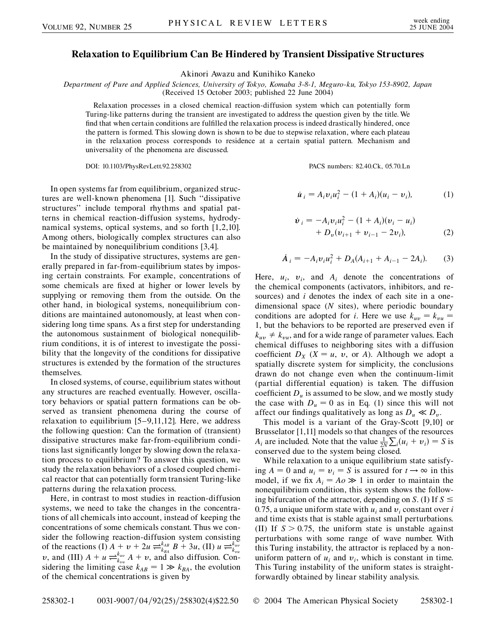## **Relaxation to Equilibrium Can Be Hindered by Transient Dissipative Structures**

Akinori Awazu and Kunihiko Kaneko

*Department of Pure and Applied Sciences, University of Tokyo, Komaba 3-8-1, Meguro-ku, Tokyo 153-8902, Japan* (Received 15 October 2003; published 22 June 2004)

Relaxation processes in a closed chemical reaction-diffusion system which can potentially form Turing-like patterns during the transient are investigated to address the question given by the title. We find that when certain conditions are fulfilled the relaxation process is indeed drastically hindered, once the pattern is formed. This slowing down is shown to be due to stepwise relaxation, where each plateau in the relaxation process corresponds to residence at a certain spatial pattern. Mechanism and universality of the phenomena are discussed.

DOI: 10.1103/PhysRevLett.92.258302 PACS numbers: 82.40.Ck, 05.70.Ln

In open systems far from equilibrium, organized structures are well-known phenomena [1]. Such ''dissipative structures'' include temporal rhythms and spatial patterns in chemical reaction-diffusion systems, hydrodynamical systems, optical systems, and so forth [1,2,10]. Among others, biologically complex structures can also be maintained by nonequilibrium conditions [3,4].

In the study of dissipative structures, systems are generally prepared in far-from-equilibrium states by imposing certain constraints. For example, concentrations of some chemicals are fixed at higher or lower levels by supplying or removing them from the outside. On the other hand, in biological systems, nonequilibrium conditions are maintained autonomously, at least when considering long time spans. As a first step for understanding the autonomous sustainment of biological nonequilibrium conditions, it is of interest to investigate the possibility that the longevity of the conditions for dissipative structures is extended by the formation of the structures themselves.

In closed systems, of course, equilibrium states without any structures are reached eventually. However, oscillatory behaviors or spatial pattern formations can be observed as transient phenomena during the course of relaxation to equilibrium [5–9,11,12]. Here, we address the following question: Can the formation of (transient) dissipative structures make far-from-equilibrium conditions last significantly longer by slowing down the relaxation process to equilibrium? To answer this question, we study the relaxation behaviors of a closed coupled chemical reactor that can potentially form transient Turing-like patterns during the relaxation process.

Here, in contrast to most studies in reaction-diffusion systems, we need to take the changes in the concentrations of all chemicals into account, instead of keeping the concentrations of some chemicals constant. Thus we consider the following reaction-diffusion system consisting of the reactions (I)  $\overrightarrow{A} + v + 2u \rightleftharpoons k_{BB} \rightarrow k_{BB} + 3u$ , (II)  $u \rightleftharpoons k_{uu}^{k_{uv}}$ *v*, and (III)  $A + u \rightleftharpoons_{k_{vu}}^{k_{uv}} A + v$ , and also diffusion. Considering the limiting case  $k_{AB} = 1 \gg k_{BA}$ , the evolution of the chemical concentrations is given by

$$
\dot{u}_i = A_i v_i u_i^2 - (1 + A_i)(u_i - v_i), \tag{1}
$$

$$
\dot{v}_i = -A_i v_i u_i^2 - (1 + A_i)(v_i - u_i) + D_v(v_{i+1} + v_{i-1} - 2v_i),
$$
\n(2)

$$
\dot{A}_i = -A_i v_i u_i^2 + D_A (A_{i+1} + A_{i-1} - 2A_i). \tag{3}
$$

Here,  $u_i$ ,  $v_i$ , and  $A_i$  denote the concentrations of the chemical components (activators, inhibitors, and resources) and *i* denotes the index of each site in a onedimensional space (*N* sites), where periodic boundary conditions are adopted for *i*. Here we use  $k_{uv} = k_{vu}$ 1, but the behaviors to be reported are preserved even if  $k_{uv} \neq k_{vu}$ , and for a wide range of parameter values. Each chemical diffuses to neighboring sites with a diffusion coefficient  $D_X$  ( $X = u$ ,  $v$ , or *A*). Although we adopt a spatially discrete system for simplicity, the conclusions drawn do not change even when the continuum-limit (partial differential equation) is taken. The diffusion coefficient  $D_u$  is assumed to be slow, and we mostly study the case with  $D_u = 0$  as in Eq. (1) since this will not affect our findings qualitatively as long as  $D_u \ll D_v$ .

This model is a variant of the Gray-Scott [9,10] or Brusselator [1,11] models so that changes of the resources  $A_i$  are included. Note that the value  $\frac{1}{2N}$  $\sum_i (u_i + v_i) = S$  is conserved due to the system being closed.

While relaxation to a unique equilibrium state satisfying  $A = 0$  and  $u_i = v_i = S$  is assured for  $t \to \infty$  in this model, if we fix  $A_i = A \circ \gg 1$  in order to maintain the nonequilibrium condition, this system shows the following bifurcation of the attractor, depending on *S*. (I) If  $S \leq$ 0.75, a unique uniform state with  $u_i$  and  $v_i$  constant over *i* and time exists that is stable against small perturbations. (II) If  $S > 0.75$ , the uniform state is unstable against perturbations with some range of wave number. With this Turing instability, the attractor is replaced by a nonuniform pattern of  $u_i$  and  $v_i$ , which is constant in time. This Turing instability of the uniform states is straightforwardly obtained by linear stability analysis.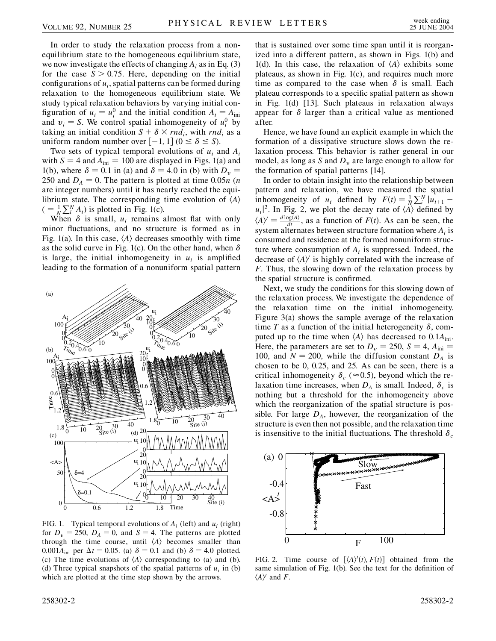In order to study the relaxation process from a nonequilibrium state to the homogeneous equilibrium state, we now investigate the effects of changing *Ai* as in Eq. (3) for the case  $S > 0.75$ . Here, depending on the initial configurations of *ui*, spatial patterns can be formed during relaxation to the homogeneous equilibrium state. We study typical relaxation behaviors by varying initial configuration of  $u_i = u_i^0$  and the initial condition  $A_i = A_{\text{ini}}$ and  $v_i = S$ . We control spatial inhomogeneity of  $u_i^0$  by taking an initial condition  $S + \delta \times rnd_i$ , with *rnd<sub>i</sub>* as a uniform random number over  $[-1, 1]$   $(0 \le \delta \le S)$ .

Two sets of typical temporal evolutions of *ui* and *Ai* with  $S = 4$  and  $A_{\text{ini}} = 100$  are displayed in Figs. 1(a) and 1(b), where  $\delta = 0.1$  in (a) and  $\delta = 4.0$  in (b) with  $D_v =$ 250 and  $D_A = 0$ . The pattern is plotted at time 0.05*n* (*n*) are integer numbers) until it has nearly reached the equilibrium state. The corresponding time evolution of  $\langle A \rangle$  $( = \frac{1}{N} \sum_{i=1}^{N} A_i)$  is plotted in Fig. 1(c).

When  $\delta$  is small,  $u_i$  remains almost flat with only minor fluctuations, and no structure is formed as in Fig. 1(a). In this case,  $\langle A \rangle$  decreases smoothly with time as the solid curve in Fig. 1(c). On the other hand, when  $\delta$ is large, the initial inhomogeneity in  $u_i$  is amplified leading to the formation of a nonuniform spatial pattern



FIG. 1. Typical temporal evolutions of  $A_i$  (left) and  $u_i$  (right) for  $D_v = 250$ ,  $D_A = 0$ , and  $S = 4$ . The patterns are plotted through the time course, until  $\langle A \rangle$  becomes smaller than 0.001 $A_{\text{ini}}$  per  $\Delta t = 0.05$ . (a)  $\delta = 0.1$  and (b)  $\delta = 4.0$  plotted. (c) The time evolutions of  $\langle A \rangle$  corresponding to (a) and (b). (d) Three typical snapshots of the spatial patterns of  $u_i$  in (b) which are plotted at the time step shown by the arrows.

that is sustained over some time span until it is reorganized into a different pattern, as shown in Figs. 1(b) and 1(d). In this case, the relaxation of  $\langle A \rangle$  exhibits some plateaus, as shown in Fig. 1(c), and requires much more time as compared to the case when  $\delta$  is small. Each plateau corresponds to a specific spatial pattern as shown in Fig. 1(d) [13]. Such plateaus in relaxation always appear for  $\delta$  larger than a critical value as mentioned after.

Hence, we have found an explicit example in which the formation of a dissipative structure slows down the relaxation process. This behavior is rather general in our model, as long as *S* and  $D<sub>v</sub>$  are large enough to allow for the formation of spatial patterns [14].

In order to obtain insight into the relationship between pattern and relaxation, we have measured the spatial inhomogeneity of *u<sub>i</sub>* defined by  $F(t) = \frac{1}{N} \sum_{i=1}^{N} |u_{i+1}|$  $|u_i|^2$ . In Fig. 2, we plot the decay rate of  $\langle A \rangle$  defined by  $\langle A \rangle^{\prime} = \frac{d \log \langle A \rangle}{dt}$ , as a function of *F*(*t*). As can be seen, the system alternates between structure formation where *Ai* is consumed and residence at the formed nonuniform structure where consumption of  $A_i$  is suppressed. Indeed, the decrease of  $\langle A \rangle$ <sup>*i*</sup> is highly correlated with the increase of *F*. Thus, the slowing down of the relaxation process by the spatial structure is confirmed.

Next, we study the conditions for this slowing down of the relaxation process. We investigate the dependence of the relaxation time on the initial inhomogeneity. Figure 3(a) shows the sample average of the relaxation time *T* as a function of the initial heterogeneity  $\delta$ , computed up to the time when  $\langle A \rangle$  has decreased to 0.1 $A_{\text{ini}}$ . Here, the parameters are set to  $D_v = 250$ ,  $S = 4$ ,  $A_{\text{ini}} =$ 100, and  $N = 200$ , while the diffusion constant  $D_A$  is chosen to be 0, 0.25, and 25. As can be seen, there is a critical inhomogeneity  $\delta_c$  ( $\approx$  0.5), beyond which the relaxation time increases, when  $D_A$  is small. Indeed,  $\delta_c$  is nothing but a threshold for the inhomogeneity above which the reorganization of the spatial structure is possible. For large  $D_A$ , however, the reorganization of the structure is even then not possible, and the relaxation time is insensitive to the initial fluctuations. The threshold  $\delta_c$ 



FIG. 2. Time course of  $[\langle A \rangle'(t), F(t)]$  obtained from the same simulation of Fig. 1(b). See the text for the definition of  $\langle A \rangle'$  and *F*.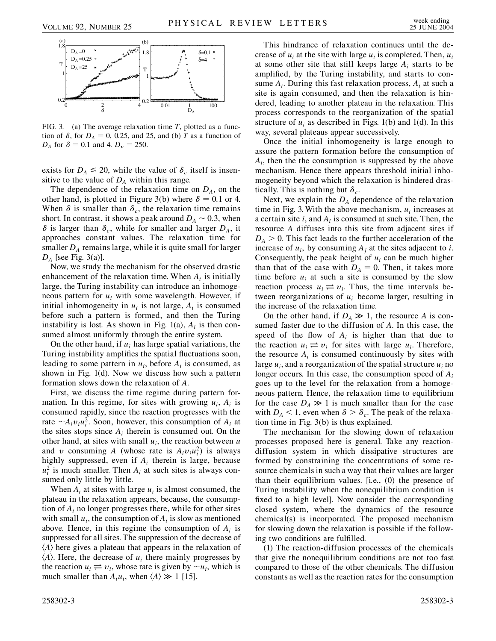

FIG. 3. (a) The average relaxation time *T*, plotted as a function of  $\delta$ , for  $D_A = 0$ , 0.25, and 25, and (b) *T* as a function of *D<sub>A</sub>* for  $\delta = 0.1$  and 4.  $D_v = 250$ .

exists for  $D_A \le 20$ , while the value of  $\delta_c$  itself is insensitive to the value of  $D_A$  within this range.

The dependence of the relaxation time on  $D_A$ , on the other hand, is plotted in Figure 3(b) where  $\delta = 0.1$  or 4. When  $\delta$  is smaller than  $\delta_c$ , the relaxation time remains short. In contrast, it shows a peak around  $D_A \sim 0.3$ , when  $\delta$  is larger than  $\delta_c$ , while for smaller and larger  $D_A$ , it approaches constant values. The relaxation time for smaller  $D_A$  remains large, while it is quite small for larger *DA* [see Fig. 3(a)].

Now, we study the mechanism for the observed drastic enhancement of the relaxation time. When  $A_i$  is initially large, the Turing instability can introduce an inhomogeneous pattern for *ui* with some wavelength. However, if initial inhomogeneity in  $u_i$  is not large,  $A_i$  is consumed before such a pattern is formed, and then the Turing instability is lost. As shown in Fig.  $1(a)$ ,  $A_i$  is then consumed almost uniformly through the entire system.

On the other hand, if  $u_i$  has large spatial variations, the Turing instability amplifies the spatial fluctuations soon, leading to some pattern in  $u_i$ , before  $A_i$  is consumed, as shown in Fig. 1(d). Now we discuss how such a pattern formation slows down the relaxation of *A*.

First, we discuss the time regime during pattern formation. In this regime, for sites with growing  $u_i$ ,  $A_i$  is consumed rapidly, since the reaction progresses with the rate  $\sim A_i v_i u_i^2$ . Soon, however, this consumption of  $A_i$  at the sites stops since  $A_i$  therein is consumed out. On the other hand, at sites with small  $u_i$ , the reaction between  $u$ and *v* consuming *A* (whose rate is  $A_i v_i u_i^2$ ) is always highly suppressed, even if *Ai* therein is large, because  $u_i^2$  is much smaller. Then  $A_i$  at such sites is always consumed only little by little.

When  $A_i$  at sites with large  $u_i$  is almost consumed, the plateau in the relaxation appears, because, the consumption of *Ai* no longer progresses there, while for other sites with small  $u_i$ , the consumption of  $A_i$  is slow as mentioned above. Hence, in this regime the consumption of  $A_i$  is suppressed for all sites. The suppression of the decrease of  $\langle A \rangle$  here gives a plateau that appears in the relaxation of  $\langle A \rangle$ . Here, the decrease of  $u_i$  there mainly progresses by the reaction  $u_i \rightleftharpoons v_i$ , whose rate is given by  $\sim u_i$ , which is much smaller than  $A_i u_i$ , when  $\langle A \rangle \gg 1$  [15].

This hindrance of relaxation continues until the decrease of  $u_i$  at the site with large  $u_i$  is completed. Then,  $u_i$ at some other site that still keeps large *Ai* starts to be amplified, by the Turing instability, and starts to consume  $A_i$ . During this fast relaxation process,  $A_i$  at such a site is again consumed, and then the relaxation is hindered, leading to another plateau in the relaxation. This process corresponds to the reorganization of the spatial structure of  $u_i$  as described in Figs. 1(b) and 1(d). In this way, several plateaus appear successively.

Once the initial inhomogeneity is large enough to assure the pattern formation before the consumption of *Ai*, then the the consumption is suppressed by the above mechanism. Hence there appears threshold initial inhomogeneity beyond which the relaxation is hindered drastically. This is nothing but  $\delta_c$ .

Next, we explain the  $D_A$  dependence of the relaxation time in Fig. 3. With the above mechanism,  $u_i$  increases at a certain site *i*, and *Ai* is consumed at such site. Then, the resource *A* diffuses into this site from adjacent sites if  $D_A > 0$ . This fact leads to the further acceleration of the increase of  $u_i$ , by consuming  $A_i$  at the sites adjacent to *i*. Consequently, the peak height of  $u_i$  can be much higher than that of the case with  $D_A = 0$ . Then, it takes more time before  $u_i$  at such a site is consumed by the slow reaction process  $u_i \rightleftharpoons v_i$ . Thus, the time intervals between reorganizations of *ui* become larger, resulting in the increase of the relaxation time.

On the other hand, if  $D_A \gg 1$ , the resource *A* is consumed faster due to the diffusion of *A*. In this case, the speed of the flow of  $A_i$  is higher than that due to the reaction  $u_i \rightleftharpoons v_i$  for sites with large  $u_i$ . Therefore, the resource  $A_i$  is consumed continuously by sites with large  $u_i$ , and a reorganization of the spatial structure  $u_i$  no longer occurs. In this case, the consumption speed of *Ai* goes up to the level for the relaxation from a homogeneous pattern. Hence, the relaxation time to equilibrium for the case  $D_A \gg 1$  is much smaller than for the case with  $D_A < 1$ , even when  $\delta > \delta_c$ . The peak of the relaxation time in Fig. 3(b) is thus explained.

The mechanism for the slowing down of relaxation processes proposed here is general. Take any reactiondiffusion system in which dissipative structures are formed by constraining the concentrations of some resource chemicals in such a way that their values are larger than their equilibrium values. [i.e., (0) the presence of Turing instability when the nonequilibrium condition is fixed to a high level]. Now consider the corresponding closed system, where the dynamics of the resource chemical(s) is incorporated. The proposed mechanism for slowing down the relaxation is possible if the following two conditions are fulfilled.

(1) The reaction-diffusion processes of the chemicals that give the nonequilibrium conditions are not too fast compared to those of the other chemicals. The diffusion constants as well as the reaction rates for the consumption